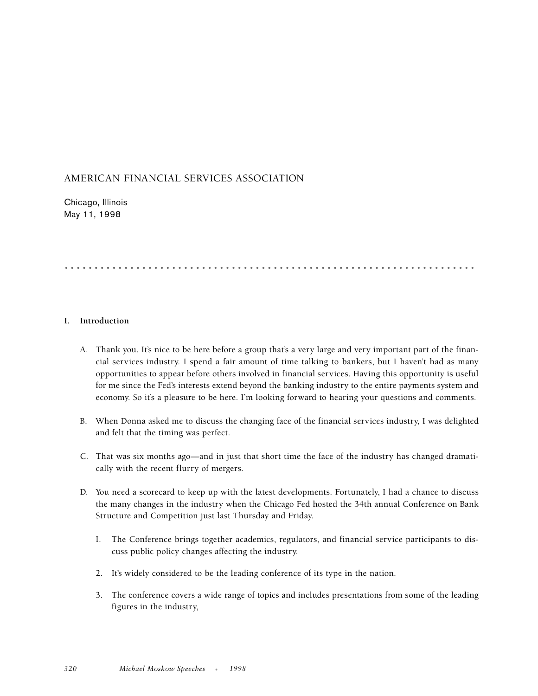# AMERICAN FINANCIAL SERVICES ASSOCIATION

Chicago, Illinois May 11, 1998

# .....................................................................

# **I. Introduction**

- A. Thank you. It's nice to be here before a group that's a very large and very important part of the financial services industry. I spend a fair amount of time talking to bankers, but I haven't had as many opportunities to appear before others involved in financial services. Having this opportunity is useful for me since the Fed's interests extend beyond the banking industry to the entire payments system and economy. So it's a pleasure to be here. I'm looking forward to hearing your questions and comments.
- B. When Donna asked me to discuss the changing face of the financial services industry, I was delighted and felt that the timing was perfect.
- C. That was six months ago—and in just that short time the face of the industry has changed dramatically with the recent flurry of mergers.
- D. You need a scorecard to keep up with the latest developments. Fortunately, I had a chance to discuss the many changes in the industry when the Chicago Fed hosted the 34th annual Conference on Bank Structure and Competition just last Thursday and Friday.
	- I. The Conference brings together academics, regulators, and financial service participants to discuss public policy changes affecting the industry.
	- 2. It's widely considered to be the leading conference of its type in the nation.
	- 3. The conference covers a wide range of topics and includes presentations from some of the leading figures in the industry,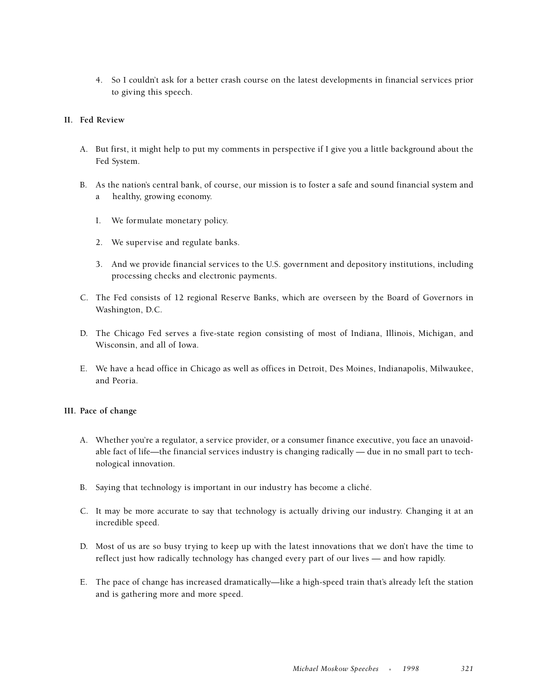4. So I couldn't ask for a better crash course on the latest developments in financial services prior to giving this speech.

#### **II. Fed Review**

- A. But first, it might help to put my comments in perspective if I give you a little background about the Fed System.
- B. As the nation's central bank, of course, our mission is to foster a safe and sound financial system and a healthy, growing economy.
	- I. We formulate monetary policy.
	- 2. We supervise and regulate banks.
	- 3. And we provide financial services to the U.S. government and depository institutions, including processing checks and electronic payments.
- C. The Fed consists of 12 regional Reserve Banks, which are overseen by the Board of Governors in Washington, D.C.
- D. The Chicago Fed serves a five-state region consisting of most of Indiana, Illinois, Michigan, and Wisconsin, and all of Iowa.
- E. We have a head office in Chicago as well as offices in Detroit, Des Moines, Indianapolis, Milwaukee, and Peoria.

#### **III. Pace of change**

- A. Whether you're a regulator, a service provider, or a consumer finance executive, you face an unavoidable fact of life—the financial services industry is changing radically — due in no small part to technological innovation.
- B. Saying that technology is important in our industry has become a cliché.
- C. It may be more accurate to say that technology is actually driving our industry. Changing it at an incredible speed.
- D. Most of us are so busy trying to keep up with the latest innovations that we don't have the time to reflect just how radically technology has changed every part of our lives — and how rapidly.
- E. The pace of change has increased dramatically—like a high-speed train that's already left the station and is gathering more and more speed.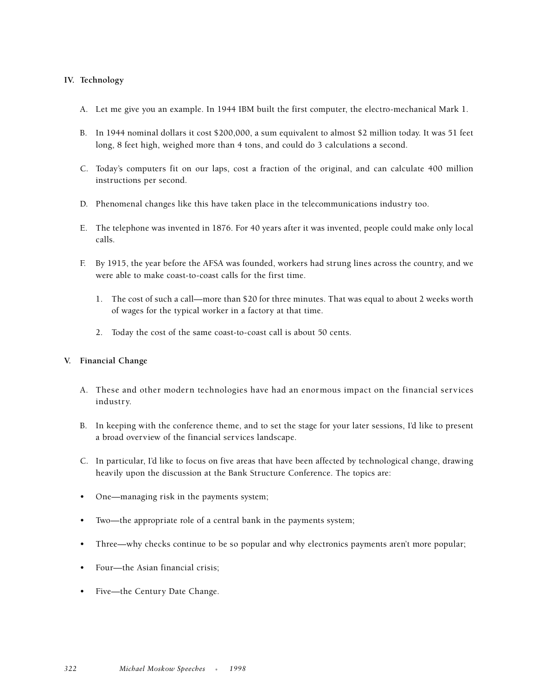# **IV. Technology**

- A. Let me give you an example. In 1944 IBM built the first computer, the electro-mechanical Mark 1.
- B. In 1944 nominal dollars it cost \$200,000, a sum equivalent to almost \$2 million today. It was 51 feet long, 8 feet high, weighed more than 4 tons, and could do 3 calculations a second.
- C. Today's computers fit on our laps, cost a fraction of the original, and can calculate 400 million instructions per second.
- D. Phenomenal changes like this have taken place in the telecommunications industry too.
- E. The telephone was invented in 1876. For 40 years after it was invented, people could make only local calls.
- F. By 1915, the year before the AFSA was founded, workers had strung lines across the country, and we were able to make coast-to-coast calls for the first time.
	- 1. The cost of such a call—more than \$20 for three minutes. That was equal to about 2 weeks worth of wages for the typical worker in a factory at that time.
	- 2. Today the cost of the same coast-to-coast call is about 50 cents.

# **V. Financial Change**

- A. These and other modern technologies have had an enormous impact on the financial services industry.
- B. In keeping with the conference theme, and to set the stage for your later sessions, I'd like to present a broad overview of the financial services landscape.
- C. In particular, I'd like to focus on five areas that have been affected by technological change, drawing heavily upon the discussion at the Bank Structure Conference. The topics are:
- One—managing risk in the payments system;
- Two—the appropriate role of a central bank in the payments system;
- Three—why checks continue to be so popular and why electronics payments aren't more popular;
- Four-the Asian financial crisis;
- Five—the Century Date Change.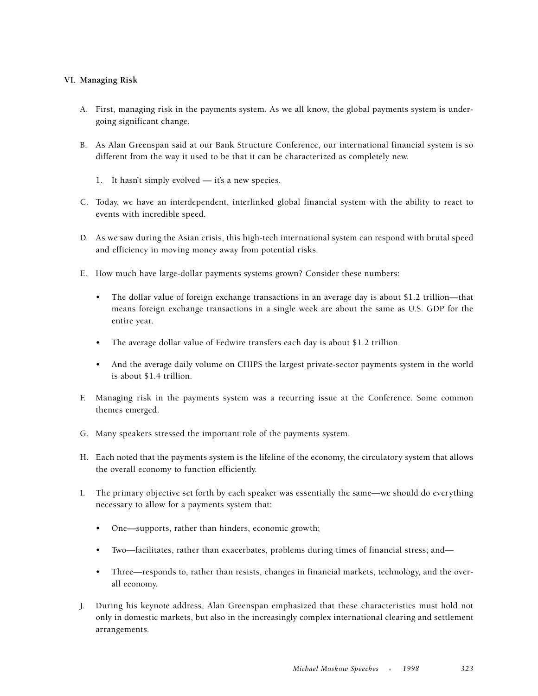# **VI. Managing Risk**

- A. First, managing risk in the payments system. As we all know, the global payments system is undergoing significant change.
- B. As Alan Greenspan said at our Bank Structure Conference, our international financial system is so different from the way it used to be that it can be characterized as completely new.
	- 1. It hasn't simply evolved it's a new species.
- C. Today, we have an interdependent, interlinked global financial system with the ability to react to events with incredible speed.
- D. As we saw during the Asian crisis, this high-tech international system can respond with brutal speed and efficiency in moving money away from potential risks.
- E. How much have large-dollar payments systems grown? Consider these numbers:
	- The dollar value of foreign exchange transactions in an average day is about \$1.2 trillion—that means foreign exchange transactions in a single week are about the same as U.S. GDP for the entire year.
	- The average dollar value of Fedwire transfers each day is about \$1.2 trillion.
	- And the average daily volume on CHIPS the largest private-sector payments system in the world is about \$1.4 trillion.
- F. Managing risk in the payments system was a recurring issue at the Conference. Some common themes emerged.
- G. Many speakers stressed the important role of the payments system.
- H. Each noted that the payments system is the lifeline of the economy, the circulatory system that allows the overall economy to function efficiently.
- I. The primary objective set forth by each speaker was essentially the same—we should do everything necessary to allow for a payments system that:
	- One—supports, rather than hinders, economic growth;
	- Two—facilitates, rather than exacerbates, problems during times of financial stress; and—
	- Three—responds to, rather than resists, changes in financial markets, technology, and the overall economy.
- J. During his keynote address, Alan Greenspan emphasized that these characteristics must hold not only in domestic markets, but also in the increasingly complex international clearing and settlement arrangements.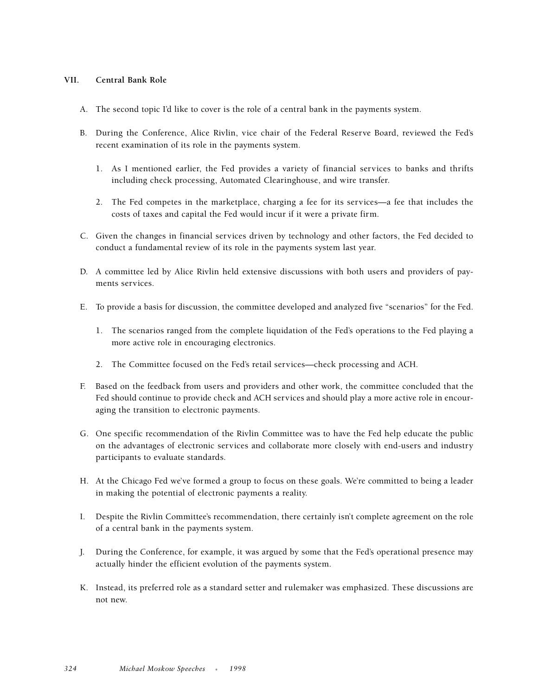#### **VII. Central Bank Role**

- A. The second topic I'd like to cover is the role of a central bank in the payments system.
- B. During the Conference, Alice Rivlin, vice chair of the Federal Reserve Board, reviewed the Fed's recent examination of its role in the payments system.
	- 1. As I mentioned earlier, the Fed provides a variety of financial services to banks and thrifts including check processing, Automated Clearinghouse, and wire transfer.
	- 2. The Fed competes in the marketplace, charging a fee for its services—a fee that includes the costs of taxes and capital the Fed would incur if it were a private firm.
- C. Given the changes in financial services driven by technology and other factors, the Fed decided to conduct a fundamental review of its role in the payments system last year.
- D. A committee led by Alice Rivlin held extensive discussions with both users and providers of payments services.
- E. To provide a basis for discussion, the committee developed and analyzed five "scenarios" for the Fed.
	- 1. The scenarios ranged from the complete liquidation of the Fed's operations to the Fed playing a more active role in encouraging electronics.
	- 2. The Committee focused on the Fed's retail services—check processing and ACH.
- F. Based on the feedback from users and providers and other work, the committee concluded that the Fed should continue to provide check and ACH services and should play a more active role in encouraging the transition to electronic payments.
- G. One specific recommendation of the Rivlin Committee was to have the Fed help educate the public on the advantages of electronic services and collaborate more closely with end-users and industry participants to evaluate standards.
- H. At the Chicago Fed we've formed a group to focus on these goals. We're committed to being a leader in making the potential of electronic payments a reality.
- I. Despite the Rivlin Committee's recommendation, there certainly isn't complete agreement on the role of a central bank in the payments system.
- J. During the Conference, for example, it was argued by some that the Fed's operational presence may actually hinder the efficient evolution of the payments system.
- K. Instead, its preferred role as a standard setter and rulemaker was emphasized. These discussions are not new.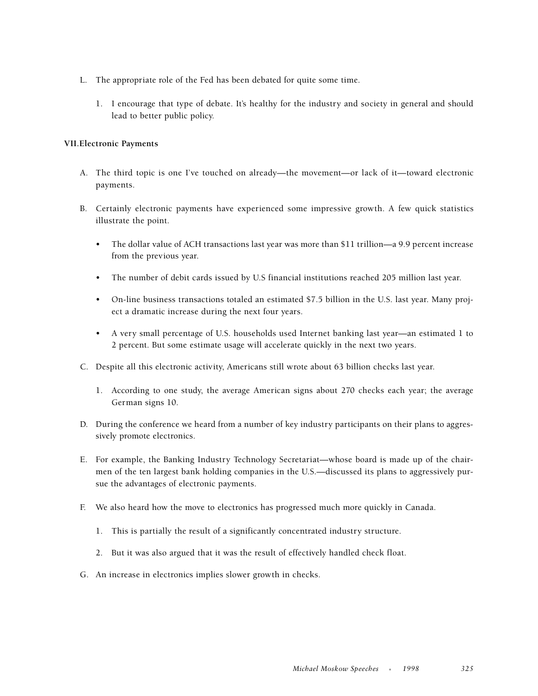- L. The appropriate role of the Fed has been debated for quite some time.
	- 1. I encourage that type of debate. It's healthy for the industry and society in general and should lead to better public policy.

#### **VII.Electronic Payments**

- A. The third topic is one I've touched on already—the movement—or lack of it—toward electronic payments.
- B. Certainly electronic payments have experienced some impressive growth. A few quick statistics illustrate the point.
	- The dollar value of ACH transactions last year was more than \$11 trillion—a 9.9 percent increase from the previous year.
	- The number of debit cards issued by U.S financial institutions reached 205 million last year.
	- On-line business transactions totaled an estimated \$7.5 billion in the U.S. last year. Many project a dramatic increase during the next four years.
	- A very small percentage of U.S. households used Internet banking last year—an estimated 1 to 2 percent. But some estimate usage will accelerate quickly in the next two years.
- C. Despite all this electronic activity, Americans still wrote about 63 billion checks last year.
	- 1. According to one study, the average American signs about 270 checks each year; the average German signs 10.
- D. During the conference we heard from a number of key industry participants on their plans to aggressively promote electronics.
- E. For example, the Banking Industry Technology Secretariat—whose board is made up of the chairmen of the ten largest bank holding companies in the U.S.—discussed its plans to aggressively pursue the advantages of electronic payments.
- F. We also heard how the move to electronics has progressed much more quickly in Canada.
	- 1. This is partially the result of a significantly concentrated industry structure.
	- 2. But it was also argued that it was the result of effectively handled check float.
- G. An increase in electronics implies slower growth in checks.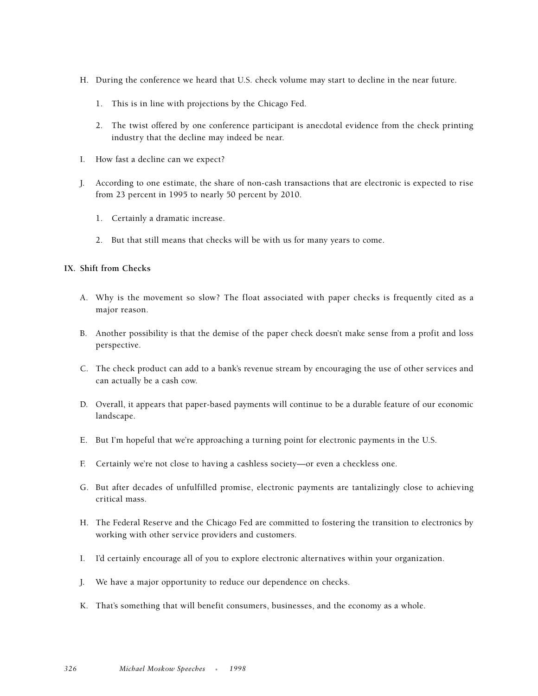- H. During the conference we heard that U.S. check volume may start to decline in the near future.
	- 1. This is in line with projections by the Chicago Fed.
	- 2. The twist offered by one conference participant is anecdotal evidence from the check printing industry that the decline may indeed be near.
- I. How fast a decline can we expect?
- J. According to one estimate, the share of non-cash transactions that are electronic is expected to rise from 23 percent in 1995 to nearly 50 percent by 2010.
	- 1. Certainly a dramatic increase.
	- 2. But that still means that checks will be with us for many years to come.

#### **IX. Shift from Checks**

- A. Why is the movement so slow? The float associated with paper checks is frequently cited as a major reason.
- B. Another possibility is that the demise of the paper check doesn't make sense from a profit and loss perspective.
- C. The check product can add to a bank's revenue stream by encouraging the use of other services and can actually be a cash cow.
- D. Overall, it appears that paper-based payments will continue to be a durable feature of our economic landscape.
- E. But I'm hopeful that we're approaching a turning point for electronic payments in the U.S.
- F. Certainly we're not close to having a cashless society—or even a checkless one.
- G. But after decades of unfulfilled promise, electronic payments are tantalizingly close to achieving critical mass.
- H. The Federal Reserve and the Chicago Fed are committed to fostering the transition to electronics by working with other service providers and customers.
- I. I'd certainly encourage all of you to explore electronic alternatives within your organization.
- J. We have a major opportunity to reduce our dependence on checks.
- K. That's something that will benefit consumers, businesses, and the economy as a whole.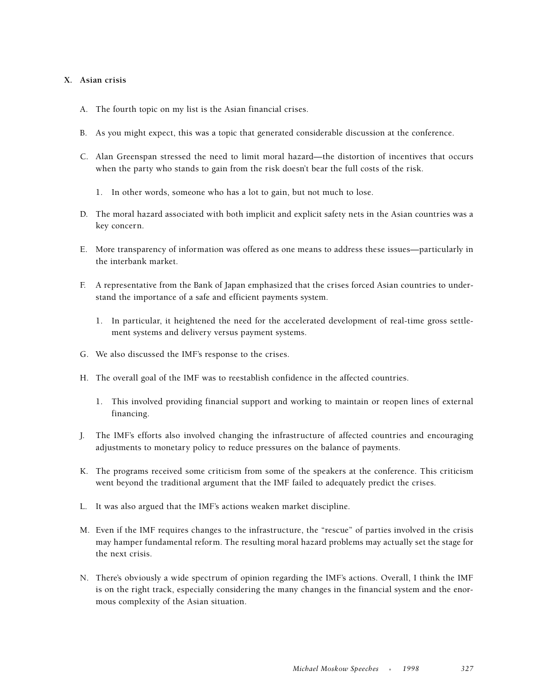#### **X. Asian crisis**

- A. The fourth topic on my list is the Asian financial crises.
- B. As you might expect, this was a topic that generated considerable discussion at the conference.
- C. Alan Greenspan stressed the need to limit moral hazard—the distortion of incentives that occurs when the party who stands to gain from the risk doesn't bear the full costs of the risk.
	- 1. In other words, someone who has a lot to gain, but not much to lose.
- D. The moral hazard associated with both implicit and explicit safety nets in the Asian countries was a key concern.
- E. More transparency of information was offered as one means to address these issues—particularly in the interbank market.
- F. A representative from the Bank of Japan emphasized that the crises forced Asian countries to understand the importance of a safe and efficient payments system.
	- 1. In particular, it heightened the need for the accelerated development of real-time gross settlement systems and delivery versus payment systems.
- G. We also discussed the IMF's response to the crises.
- H. The overall goal of the IMF was to reestablish confidence in the affected countries.
	- 1. This involved providing financial support and working to maintain or reopen lines of external financing.
- J. The IMF's efforts also involved changing the infrastructure of affected countries and encouraging adjustments to monetary policy to reduce pressures on the balance of payments.
- K. The programs received some criticism from some of the speakers at the conference. This criticism went beyond the traditional argument that the IMF failed to adequately predict the crises.
- L. It was also argued that the IMF's actions weaken market discipline.
- M. Even if the IMF requires changes to the infrastructure, the "rescue" of parties involved in the crisis may hamper fundamental reform. The resulting moral hazard problems may actually set the stage for the next crisis.
- N. There's obviously a wide spectrum of opinion regarding the IMF's actions. Overall, I think the IMF is on the right track, especially considering the many changes in the financial system and the enormous complexity of the Asian situation.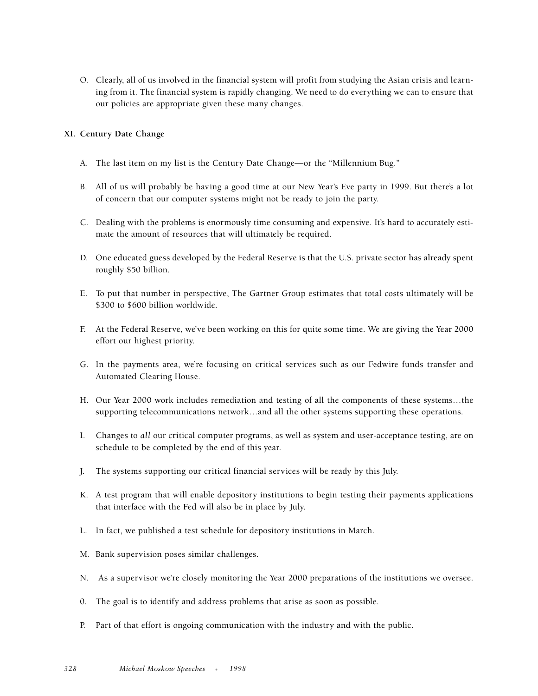O. Clearly, all of us involved in the financial system will profit from studying the Asian crisis and learning from it. The financial system is rapidly changing. We need to do everything we can to ensure that our policies are appropriate given these many changes.

# **XI. Century Date Change**

- A. The last item on my list is the Century Date Change—or the "Millennium Bug."
- B. All of us will probably be having a good time at our New Year's Eve party in 1999. But there's a lot of concern that our computer systems might not be ready to join the party.
- C. Dealing with the problems is enormously time consuming and expensive. It's hard to accurately estimate the amount of resources that will ultimately be required.
- D. One educated guess developed by the Federal Reserve is that the U.S. private sector has already spent roughly \$50 billion.
- E. To put that number in perspective, The Gartner Group estimates that total costs ultimately will be \$300 to \$600 billion worldwide.
- F. At the Federal Reserve, we've been working on this for quite some time. We are giving the Year 2000 effort our highest priority.
- G. In the payments area, we're focusing on critical services such as our Fedwire funds transfer and Automated Clearing House.
- H. Our Year 2000 work includes remediation and testing of all the components of these systems…the supporting telecommunications network…and all the other systems supporting these operations.
- I. Changes to *all* our critical computer programs, as well as system and user-acceptance testing, are on schedule to be completed by the end of this year.
- J. The systems supporting our critical financial services will be ready by this July.
- K. A test program that will enable depository institutions to begin testing their payments applications that interface with the Fed will also be in place by July.
- L. In fact, we published a test schedule for depository institutions in March.
- M. Bank supervision poses similar challenges.
- N. As a supervisor we're closely monitoring the Year 2000 preparations of the institutions we oversee.
- 0. The goal is to identify and address problems that arise as soon as possible.
- P. Part of that effort is ongoing communication with the industry and with the public.